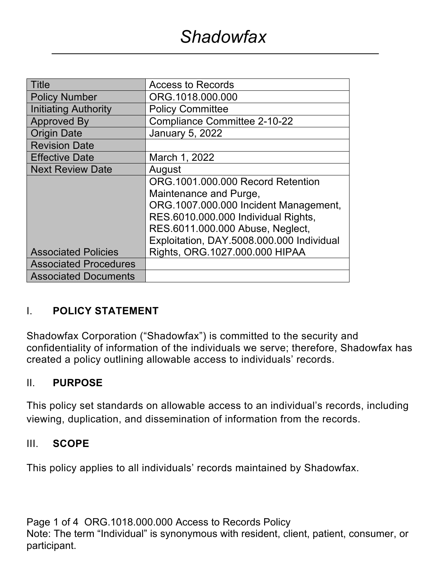| <b>Title</b>                 | <b>Access to Records</b>                                                                                                                                                                                                                                       |  |  |
|------------------------------|----------------------------------------------------------------------------------------------------------------------------------------------------------------------------------------------------------------------------------------------------------------|--|--|
| <b>Policy Number</b>         | ORG.1018.000.000                                                                                                                                                                                                                                               |  |  |
| <b>Initiating Authority</b>  | <b>Policy Committee</b>                                                                                                                                                                                                                                        |  |  |
| <b>Approved By</b>           | <b>Compliance Committee 2-10-22</b>                                                                                                                                                                                                                            |  |  |
| <b>Origin Date</b>           | <b>January 5, 2022</b>                                                                                                                                                                                                                                         |  |  |
| <b>Revision Date</b>         |                                                                                                                                                                                                                                                                |  |  |
| <b>Effective Date</b>        | March 1, 2022                                                                                                                                                                                                                                                  |  |  |
| <b>Next Review Date</b>      | August                                                                                                                                                                                                                                                         |  |  |
| <b>Associated Policies</b>   | ORG.1001.000.000 Record Retention<br>Maintenance and Purge,<br>ORG.1007.000.000 Incident Management,<br>RES.6010.000.000 Individual Rights,<br>RES.6011.000.000 Abuse, Neglect,<br>Exploitation, DAY.5008.000.000 Individual<br>Rights, ORG.1027.000.000 HIPAA |  |  |
| <b>Associated Procedures</b> |                                                                                                                                                                                                                                                                |  |  |
| <b>Associated Documents</b>  |                                                                                                                                                                                                                                                                |  |  |

## I. **POLICY STATEMENT**

Shadowfax Corporation ("Shadowfax") is committed to the security and confidentiality of information of the individuals we serve; therefore, Shadowfax has created a policy outlining allowable access to individuals' records.

#### II. **PURPOSE**

This policy set standards on allowable access to an individual's records, including viewing, duplication, and dissemination of information from the records.

#### III. **SCOPE**

This policy applies to all individuals' records maintained by Shadowfax.

Page 1 of 4 ORG.1018.000.000 Access to Records Policy Note: The term "Individual" is synonymous with resident, client, patient, consumer, or participant.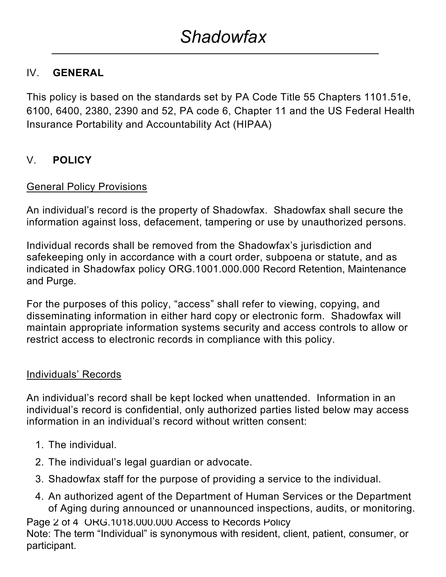## IV. **GENERAL**

This policy is based on the standards set by PA Code Title 55 Chapters 1101.51e, 6100, 6400, 2380, 2390 and 52, PA code 6, Chapter 11 and the US Federal Health Insurance Portability and Accountability Act (HIPAA)

## V. **POLICY**

### General Policy Provisions

An individual's record is the property of Shadowfax. Shadowfax shall secure the information against loss, defacement, tampering or use by unauthorized persons.

Individual records shall be removed from the Shadowfax's jurisdiction and safekeeping only in accordance with a court order, subpoena or statute, and as indicated in Shadowfax policy ORG.1001.000.000 Record Retention, Maintenance and Purge.

For the purposes of this policy, "access" shall refer to viewing, copying, and disseminating information in either hard copy or electronic form. Shadowfax will maintain appropriate information systems security and access controls to allow or restrict access to electronic records in compliance with this policy.

#### Individuals' Records

An individual's record shall be kept locked when unattended. Information in an individual's record is confidential, only authorized parties listed below may access information in an individual's record without written consent:

- 1. The individual.
- 2. The individual's legal guardian or advocate.
- 3. Shadowfax staff for the purpose of providing a service to the individual.
- 4. An authorized agent of the Department of Human Services or the Department of Aging during announced or unannounced inspections, audits, or monitoring.

Page 2 of 4 ORG.1018.000.000 Access to Records Policy

Note: The term "Individual" is synonymous with resident, client, patient, consumer, or participant.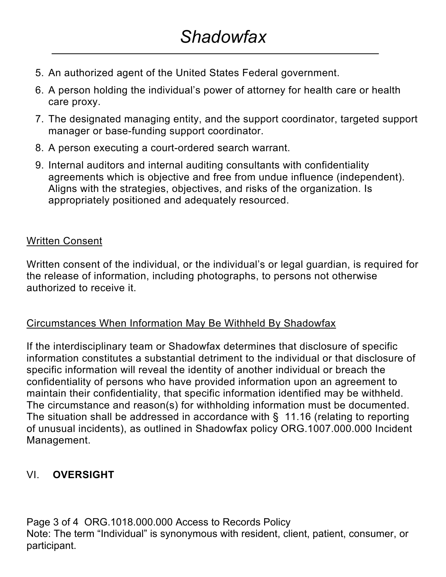- 5. An authorized agent of the United States Federal government.
- 6. A person holding the individual's power of attorney for health care or health care proxy.
- 7. The designated managing entity, and the support coordinator, targeted support manager or base-funding support coordinator.
- 8. A person executing a court-ordered search warrant.
- 9. Internal auditors and internal auditing consultants with confidentiality agreements which is objective and free from undue influence (independent). Aligns with the strategies, objectives, and risks of the organization. Is appropriately positioned and adequately resourced.

### Written Consent

Written consent of the individual, or the individual's or legal guardian, is required for the release of information, including photographs, to persons not otherwise authorized to receive it.

#### Circumstances When Information May Be Withheld By Shadowfax

If the interdisciplinary team or Shadowfax determines that disclosure of specific information constitutes a substantial detriment to the individual or that disclosure of specific information will reveal the identity of another individual or breach the confidentiality of persons who have provided information upon an agreement to maintain their confidentiality, that specific information identified may be withheld. The circumstance and reason(s) for withholding information must be documented. The situation shall be addressed in accordance with § 11.16 (relating to reporting of unusual incidents), as outlined in Shadowfax policy ORG.1007.000.000 Incident Management.

## VI. **OVERSIGHT**

Page 3 of 4 ORG.1018.000.000 Access to Records Policy Note: The term "Individual" is synonymous with resident, client, patient, consumer, or participant.